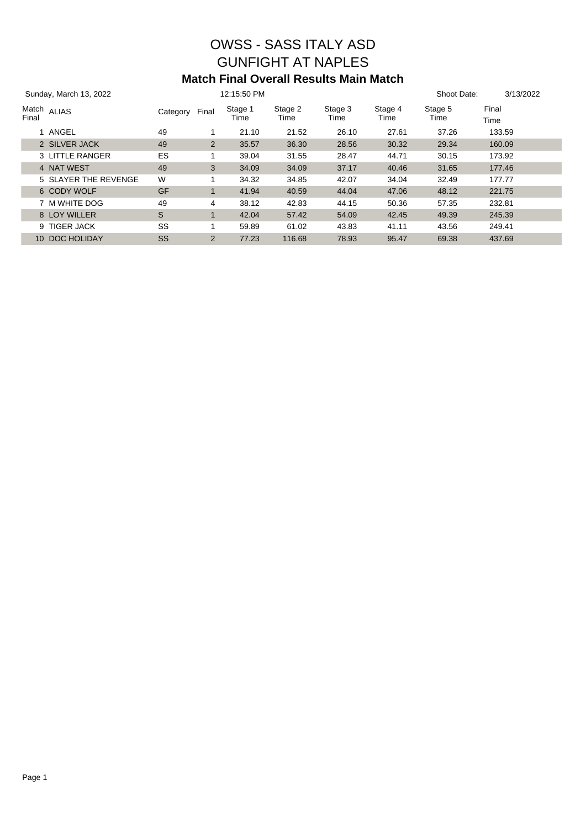# OWSS - SASS ITALY ASD GUNFIGHT AT NAPLES **Match Final Overall Results Main Match**

| Sunday, March 13, 2022          |           |       | 12:15:50 PM     |                 |                 |                 | Shoot Date:     | 3/13/2022     |
|---------------------------------|-----------|-------|-----------------|-----------------|-----------------|-----------------|-----------------|---------------|
| Match <sub>ALIAS</sub><br>Final | Category  | Final | Stage 1<br>Time | Stage 2<br>Time | Stage 3<br>Time | Stage 4<br>Time | Stage 5<br>Time | Final<br>Time |
| 1 ANGEL                         | 49        | 1     | 21.10           | 21.52           | 26.10           | 27.61           | 37.26           | 133.59        |
| 2 SILVER JACK                   | 49        | 2     | 35.57           | 36.30           | 28.56           | 30.32           | 29.34           | 160.09        |
| 3 LITTLE RANGER                 | ES        |       | 39.04           | 31.55           | 28.47           | 44.71           | 30.15           | 173.92        |
| 4 NAT WEST                      | 49        | 3     | 34.09           | 34.09           | 37.17           | 40.46           | 31.65           | 177.46        |
| 5 SLAYER THE REVENGE            | W         |       | 34.32           | 34.85           | 42.07           | 34.04           | 32.49           | 177.77        |
| 6 CODY WOLF                     | <b>GF</b> |       | 41.94           | 40.59           | 44.04           | 47.06           | 48.12           | 221.75        |
| 7 M WHITE DOG                   | 49        | 4     | 38.12           | 42.83           | 44.15           | 50.36           | 57.35           | 232.81        |
| 8 LOY WILLER                    | S         |       | 42.04           | 57.42           | 54.09           | 42.45           | 49.39           | 245.39        |
| <b>TIGER JACK</b><br>9.         | SS        |       | 59.89           | 61.02           | 43.83           | 41.11           | 43.56           | 249.41        |
| 10 DOC HOLIDAY                  | SS        | 2     | 77.23           | 116.68          | 78.93           | 95.47           | 69.38           | 437.69        |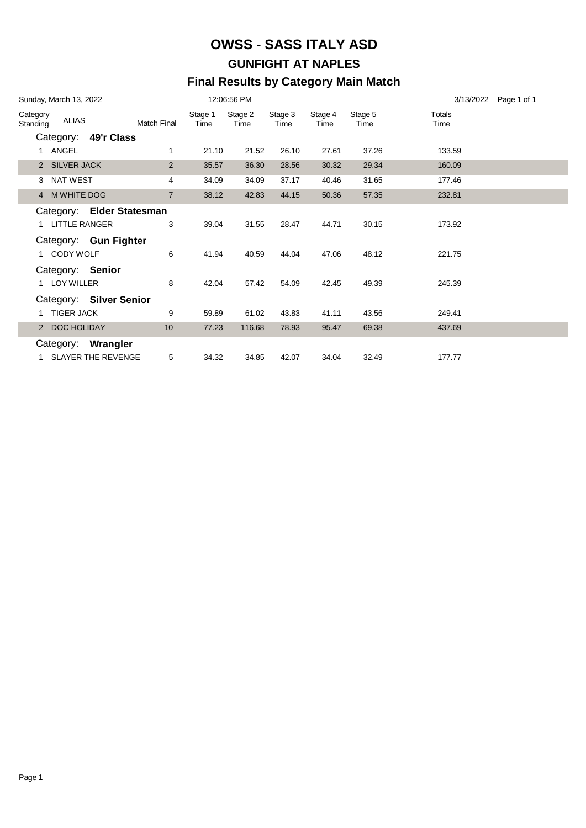# **OWSS - SASS ITALY ASD GUNFIGHT AT NAPLES Final Results by Category Main Match**

|                      | Sunday, March 13, 2022 |                                            |                    |                 | 12:06:56 PM     |                 |                 |                 | 3/13/2022 Page 1 of 1 |
|----------------------|------------------------|--------------------------------------------|--------------------|-----------------|-----------------|-----------------|-----------------|-----------------|-----------------------|
| Category<br>Standing | ALIAS                  |                                            | <b>Match Final</b> | Stage 1<br>Time | Stage 2<br>Time | Stage 3<br>Time | Stage 4<br>Time | Stage 5<br>Time | Totals<br>Time        |
|                      |                        | Category: 49'r Class                       |                    |                 |                 |                 |                 |                 |                       |
|                      | 1 ANGEL                |                                            | 1                  | 21.10           | 21.52           | 26.10           | 27.61           | 37.26           | 133.59                |
|                      | 2 SILVER JACK          |                                            | 2                  | 35.57           | 36.30           | 28.56           | 30.32           | 29.34           | 160.09                |
|                      | 3 NAT WEST             |                                            | 4                  | 34.09           | 34.09           | 37.17           | 40.46           | 31.65           | 177.46                |
|                      | 4 M WHITE DOG          |                                            | $\overline{7}$     | 38.12           | 42.83           | 44.15           | 50.36           | 57.35           | 232.81                |
|                      | 1 LITTLE RANGER        | Category: Elder Statesman                  | 3                  | 39.04           | 31.55           | 28.47           | 44.71           | 30.15           | 173.92                |
|                      | CODY WOLF              | Category: Gun Fighter                      | 6                  | 41.94           | 40.59           | 44.04           | 47.06           | 48.12           | 221.75                |
|                      | LOY WILLER             | Category: Senior                           | 8                  | 42.04           | 57.42           | 54.09           | 42.45           | 49.39           | 245.39                |
|                      |                        | Category: Silver Senior                    |                    |                 |                 |                 |                 |                 |                       |
|                      | <b>TIGER JACK</b>      |                                            | 9                  | 59.89           | 61.02           | 43.83           | 41.11           | 43.56           | 249.41                |
|                      | 2 DOC HOLIDAY          |                                            | 10                 | 77.23           | 116.68          | 78.93           | 95.47           | 69.38           | 437.69                |
|                      |                        | Category: Wrangler<br>1 SLAYER THE REVENGE | 5                  | 34.32           | 34.85           | 42.07           | 34.04           | 32.49           | 177.77                |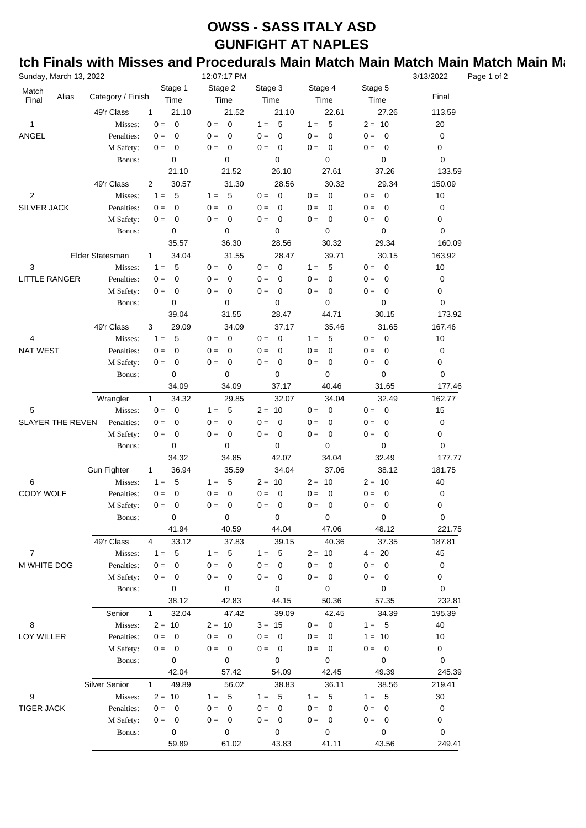# **OWSS - SASS ITALY ASD GUNFIGHT AT NAPLES**

### **tch Finals with Misses and Procedurals Main Match Main Match Match Main Match** Main Match

| Sunday, March 13, 2022  |       |                    |                                  | 12:07:17 PM                      |                                  |                      |                                   | 3/13/2022 | Page 1 of 2 |
|-------------------------|-------|--------------------|----------------------------------|----------------------------------|----------------------------------|----------------------|-----------------------------------|-----------|-------------|
| Match<br>Final          | Alias | Category / Finish  | Stage 1<br>Time                  | Stage 2<br>Time                  | Stage 3<br>Time                  | Stage 4<br>Time      | Stage 5<br>Time                   | Final     |             |
|                         |       | 49'r Class         | 21.10<br>1                       | 21.52                            | 21.10                            | 22.61                | 27.26                             | 113.59    |             |
| 1                       |       | Misses:            | $\mathbf 0$<br>$0 =$             | $\overline{0}$<br>$0 =$          | 5<br>$1 =$                       | 5<br>$1 =$           | $2 = 10$                          | 20        |             |
| ANGEL                   |       | Penalties:         | $0 =$<br>0                       | $0 =$<br>$\mathbf 0$             | $\mathbf 0$<br>$0 =$             | $\mathbf 0$<br>$0 =$ | $0 =$<br>0                        | 0         |             |
|                         |       | M Safety:          | $\pmb{0}$<br>$0 =$               | $\mathbf 0$<br>$0 =$             | $\mathbf 0$<br>$0 =$             | $0 =$<br>0           | 0<br>$0 =$                        | 0         |             |
|                         |       | Bonus:             | 0                                | $\mathbf 0$                      | 0                                | 0                    | 0                                 | 0         |             |
|                         |       |                    | 21.10                            | 21.52                            | 26.10                            | 27.61                | 37.26                             | 133.59    |             |
|                         |       | 49'r Class         | 2<br>30.57                       | 31.30                            | 28.56                            | 30.32                | 29.34                             | 150.09    |             |
| $\overline{\mathbf{c}}$ |       | Misses:            | $1 =$<br>5                       | 5<br>$1 =$                       | $0 =$<br>$\overline{\mathbf{0}}$ | $0 =$<br>0           | $0 =$<br>$\overline{\phantom{0}}$ | 10        |             |
| SILVER JACK             |       | Penalties:         | 0<br>$0 =$                       | 0<br>$0 =$                       | 0<br>$0 =$                       | $0 =$<br>0           | 0<br>$0 =$                        | 0         |             |
|                         |       | M Safety:          | $\mathbf 0$<br>$0 =$             | $\mathbf 0$<br>$0 =$             | $\mathbf 0$<br>$0 =$             | $0 =$<br>0           | 0<br>$0 =$                        | 0         |             |
|                         |       | Bonus:             | 0                                | 0                                | 0                                | 0                    | 0                                 | 0         |             |
|                         |       |                    | 35.57                            | 36.30                            | 28.56                            | 30.32                | 29.34                             | 160.09    |             |
|                         |       | Elder Statesman    | 34.04<br>$\mathbf{1}$            | 31.55                            | 28.47                            | 39.71                | 30.15                             | 163.92    |             |
| 3                       |       | Misses:            | 5<br>$1 =$                       | $\mathbf 0$<br>$0 =$             | $\overline{0}$<br>$0 =$          | 5<br>$1 =$           | $\overline{\mathbf{0}}$<br>$0 =$  | 10        |             |
| <b>LITTLE RANGER</b>    |       | Penalties:         | $\pmb{0}$<br>$0 =$               | 0<br>$0 =$                       | $0 =$<br>0                       | $0 =$<br>0           | $\mathbf 0$<br>$0 =$              | 0         |             |
|                         |       | M Safety:          | $\pmb{0}$<br>$0 =$               | $\mathbf 0$<br>$0 =$             | $\mathbf 0$<br>$0 =$             | $0 =$<br>0           | $\mathbf 0$<br>$0 =$              | 0         |             |
|                         |       | Bonus:             | 0                                | $\mathbf 0$                      | 0                                | 0                    | 0                                 | 0         |             |
|                         |       |                    | 39.04                            | 31.55                            | 28.47                            | 44.71                | 30.15                             | 173.92    |             |
|                         |       | 49'r Class         | 3<br>29.09                       | 34.09                            | 37.17                            | 35.46                | 31.65                             | 167.46    |             |
| 4                       |       | Misses:            | 5<br>$1 =$                       | $\mathbf 0$<br>$0 =$             | $\mathbf 0$<br>$0 =$             | 5<br>$1 =$           | $\mathbf 0$<br>$0 =$              | 10        |             |
| <b>NAT WEST</b>         |       | Penalties:         | $\pmb{0}$<br>$0 =$               | $\mathbf 0$<br>$0 =$             | $\mathbf 0$<br>$0 =$             | $0 =$<br>0           | $\mathbf 0$<br>$0 =$              | 0         |             |
|                         |       | M Safety:          | $\pmb{0}$<br>$0 =$               | $\mathbf 0$<br>$0 =$             | $\mathbf 0$<br>$0 =$             | $0 =$<br>0           | $\mathbf 0$<br>$0 =$              | 0         |             |
|                         |       | Bonus:             | 0                                | $\mathbf 0$                      | 0                                | 0                    | 0                                 | 0         |             |
|                         |       |                    | 34.09                            | 34.09                            | 37.17                            | 40.46                | 31.65                             | 177.46    |             |
|                         |       | Wrangler           | $\mathbf{1}$<br>34.32            | 29.85                            | 32.07                            | 34.04                | 32.49                             | 162.77    |             |
| 5                       |       | Misses:            | $0 =$<br>0                       | 5<br>$1 =$                       | $2 = 10$                         | $0 =$<br>0           | $\mathbf 0$<br>$0 =$              | 15        |             |
| <b>SLAYER THE REVEN</b> |       | Penalties:         | $\pmb{0}$<br>$0 =$               | $\mathbf 0$<br>$0 =$             | $\mathbf 0$<br>$0 =$             | 0<br>$0 =$           | 0<br>$0 =$                        | 0         |             |
|                         |       | M Safety:          | $\pmb{0}$<br>$0 =$               | $\mathbf 0$<br>$0 =$             | $\mathbf 0$<br>$0 =$             | $0 =$<br>0           | $\mathbf 0$<br>$0 =$              | 0         |             |
|                         |       | Bonus:             | $\mathbf 0$                      | $\mathbf 0$                      | 0                                | 0                    | 0                                 | 0         |             |
|                         |       |                    | 34.32                            | 34.85                            | 42.07                            | 34.04                | 32.49                             | 177.77    |             |
|                         |       | <b>Gun Fighter</b> | $\mathbf{1}$<br>36.94            | 35.59                            | 34.04                            | 37.06                | 38.12                             | 181.75    |             |
| 6                       |       | Misses:            | $1 =$<br>5                       | 5<br>$1 =$                       | $2 = 10$                         | $2 = 10$             | $2 = 10$                          | 40        |             |
| CODY WOLF               |       | Penalties:         | $\mathbf 0$<br>$0 =$             | $\mathbf 0$<br>$0 =$             | $\mathbf 0$<br>$0 =$             | 0<br>$0 =$           | 0<br>$0 =$                        | 0         |             |
|                         |       | M Safety:          | $0 =$<br>0                       | $0 =$<br>0                       | $0 =$<br>$\mathbf 0$             | $0 =$<br>0           | 0<br>$0 =$                        | 0         |             |
|                         |       | Bonus:             | 0                                | $\mathbf 0$                      | 0                                | 0                    | 0                                 | 0         |             |
|                         |       |                    | 41.94                            | 40.59                            | 44.04                            | 47.06                | 48.12                             | 221.75    |             |
|                         |       | 49'r Class         | $\overline{4}$<br>33.12          | 37.83                            | 39.15                            | 40.36                | 37.35                             | 187.81    |             |
| $\overline{7}$          |       | Misses:            | 5<br>$1 =$                       | 5<br>$1 =$                       | 5<br>$1 =$                       | $2 = 10$             | $4 = 20$                          | 45        |             |
| M WHITE DOG             |       | Penalties:         | $0 =$<br>0                       | $0 =$<br>$\mathbf 0$             | $0 =$<br>$\mathbf 0$             | $0 =$<br>$\mathbf 0$ | $\overline{\mathbf{0}}$<br>$0 =$  | 0         |             |
|                         |       | M Safety:          | $\overline{\mathbf{0}}$<br>$0 =$ | $0 =$<br>$\overline{\mathbf{0}}$ | $0 =$<br>$\mathbf 0$             | $0 =$<br>0           | $0 =$<br>$\overline{\mathbf{0}}$  | 0         |             |
|                         |       | Bonus:             | 0                                | $\mathbf 0$                      | 0                                | 0                    | 0                                 | 0         |             |
|                         |       |                    | 38.12                            | 42.83                            | 44.15                            | 50.36                | 57.35                             | 232.81    |             |
|                         |       | Senior             | 32.04<br>$\mathbf{1}$            | 47.42                            | 39.09                            | 42.45                | 34.39                             | 195.39    |             |
| 8                       |       | Misses:            | $2 = 10$                         | $2 = 10$                         | $3 = 15$                         | 0<br>$0 =$           | $1 = 5$                           | 40        |             |
| LOY WILLER              |       | Penalties:         | $0 =$<br>0                       | $0 =$<br>0                       | $0 =$<br>0                       | $0 =$<br>0           | $1 = 10$                          | 10        |             |
|                         |       | M Safety:          | $0 =$<br>$\overline{\mathbf{0}}$ | $\overline{\mathbf{0}}$<br>$0 =$ | $0 =$<br>0                       | $0 =$<br>$\mathbf 0$ | $0 =$<br>$\overline{\phantom{0}}$ | 0         |             |
|                         |       | Bonus:             | 0                                | $\mathbf 0$                      | 0                                | 0                    | 0                                 | 0         |             |
|                         |       |                    | 42.04                            | 57.42                            | 54.09                            | 42.45                | 49.39                             | 245.39    |             |
|                         |       | Silver Senior      | 49.89<br>1                       | 56.02                            | 38.83                            | 36.11                | 38.56                             | 219.41    |             |
| 9                       |       | Misses:            | $2 = 10$                         | 5<br>$1 =$                       | - 5<br>$1 =$                     | 5<br>$1 =$           | 5<br>$1 =$                        | 30        |             |
| <b>TIGER JACK</b>       |       | Penalties:         | $0 =$<br>0                       | $0 =$<br>0                       | $0 =$<br>0                       | $0 =$<br>0           | $0 =$<br>0                        | 0         |             |
|                         |       | M Safety:          | $\mathbf 0$<br>$0 =$             | $0 =$<br>0                       | $0 =$<br>$\mathbf 0$             | $0 =$<br>0           | $0 =$<br>0                        | 0         |             |
|                         |       | Bonus:             | 0                                | 0                                | 0                                | 0                    | 0                                 | 0         |             |
|                         |       |                    | 59.89                            | 61.02                            | 43.83                            | 41.11                | 43.56                             | 249.41    |             |